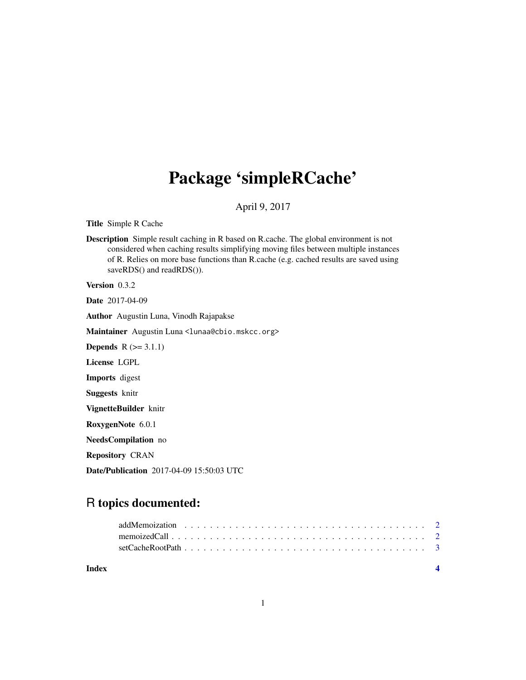## Package 'simpleRCache'

#### April 9, 2017

Title Simple R Cache

Description Simple result caching in R based on R.cache. The global environment is not considered when caching results simplifying moving files between multiple instances of R. Relies on more base functions than R.cache (e.g. cached results are saved using saveRDS() and readRDS()).

Version 0.3.2

Date 2017-04-09

Author Augustin Luna, Vinodh Rajapakse

Maintainer Augustin Luna <lunaa@cbio.mskcc.org>

**Depends**  $R$  ( $>= 3.1.1$ )

License LGPL

Imports digest

Suggests knitr

VignetteBuilder knitr

RoxygenNote 6.0.1

NeedsCompilation no

Repository CRAN

Date/Publication 2017-04-09 15:50:03 UTC

### R topics documented:

| Index |  |
|-------|--|
|       |  |
|       |  |
|       |  |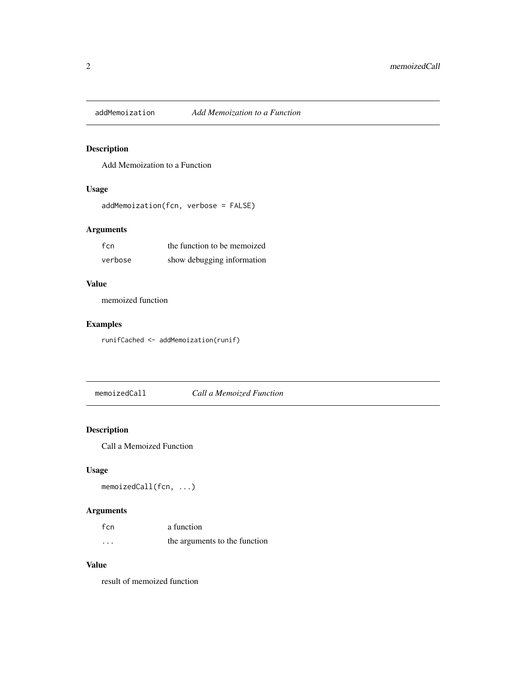<span id="page-1-0"></span>

#### Description

Add Memoization to a Function

#### Usage

```
addMemoization(fcn, verbose = FALSE)
```
#### Arguments

| fcn.    | the function to be memoized |
|---------|-----------------------------|
| verbose | show debugging information  |

#### Value

memoized function

#### Examples

runifCached <- addMemoization(runif)

memoizedCall *Call a Memoized Function*

#### Description

Call a Memoized Function

#### Usage

```
memoizedCall(fcn, ...)
```
#### Arguments

| fcn     | a function                    |
|---------|-------------------------------|
| $\cdot$ | the arguments to the function |

#### Value

result of memoized function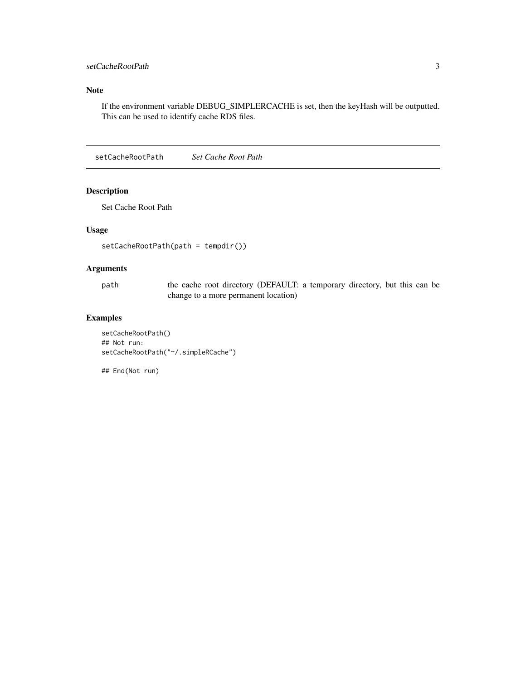#### <span id="page-2-0"></span>setCacheRootPath 3

#### Note

If the environment variable DEBUG\_SIMPLERCACHE is set, then the keyHash will be outputted. This can be used to identify cache RDS files.

setCacheRootPath *Set Cache Root Path*

#### Description

Set Cache Root Path

#### Usage

```
setCacheRootPath(path = tempdir())
```
#### Arguments

path the cache root directory (DEFAULT: a temporary directory, but this can be change to a more permanent location)

#### Examples

setCacheRootPath() ## Not run: setCacheRootPath("~/.simpleRCache")

## End(Not run)